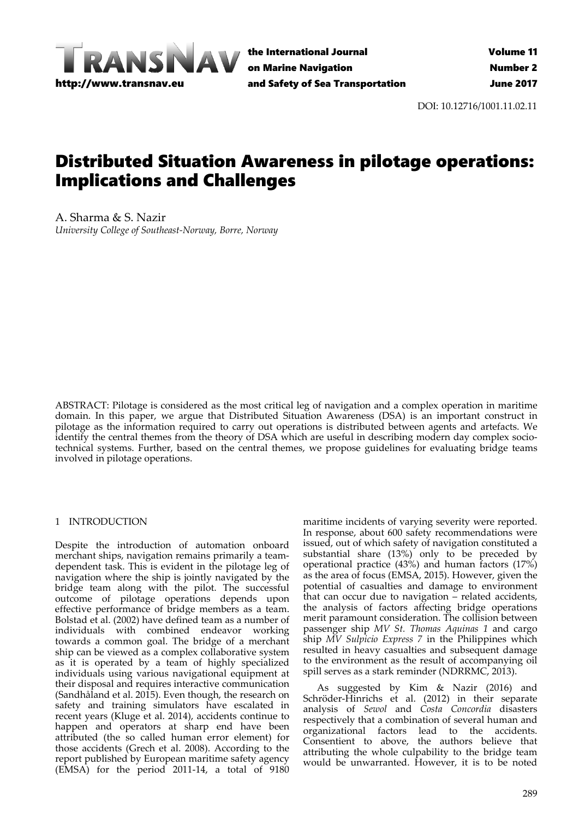

the International Journal on Marine Navigation and Safety of Sea Transportation

DOI: 10.12716/1001.11.02.11

# Distributed Situation Awareness in pilotage operations: Implications and Challenges

A. Sharma & S. Nazir *University College of Southeast‐Norway, Borre, Norway*

ABSTRACT: Pilotage is considered as the most critical leg of navigation and a complex operation in maritime domain. In this paper, we argue that Distributed Situation Awareness (DSA) is an important construct in pilotage as the information required to carry out operations is distributed between agents and artefacts. We identify the central themes from the theory of DSA which are useful in describing modern day complex socio‐ technical systems. Further, based on the central themes, we propose guidelines for evaluating bridge teams involved in pilotage operations.

## 1 INTRODUCTION

Despite the introduction of automation onboard merchant ships, navigation remains primarily a team‐ dependent task. This is evident in the pilotage leg of navigation where the ship is jointly navigated by the bridge team along with the pilot. The successful outcome of pilotage operations depends upon effective performance of bridge members as a team. Bolstad et al. (2002) have defined team as a number of individuals with combined endeavor working towards a common goal. The bridge of a merchant ship can be viewed as a complex collaborative system as it is operated by a team of highly specialized individuals using various navigational equipment at their disposal and requires interactive communication (Sandhåland et al. 2015). Even though, the research on safety and training simulators have escalated in recent years (Kluge et al. 2014), accidents continue to happen and operators at sharp end have been attributed (the so called human error element) for those accidents (Grech et al. 2008). According to the report published by European maritime safety agency (EMSA) for the period 2011‐14, a total of 9180

maritime incidents of varying severity were reported. In response, about 600 safety recommendations were issued, out of which safety of navigation constituted a substantial share (13%) only to be preceded by operational practice (43%) and human factors (17%) as the area of focus (EMSA, 2015). However, given the potential of casualties and damage to environment that can occur due to navigation – related accidents, the analysis of factors affecting bridge operations merit paramount consideration. The collision between passenger ship *MV St. Thomas Aquinas 1* and cargo ship *MV Sulpicio Express 7* in the Philippines which resulted in heavy casualties and subsequent damage to the environment as the result of accompanying oil spill serves as a stark reminder (NDRRMC, 2013).

As suggested by Kim & Nazir (2016) and Schröder‐Hinrichs et al. (2012) in their separate analysis of *Sewol* and *Costa Concordia* disasters respectively that a combination of several human and organizational factors lead to the accidents. Consentient to above, the authors believe that attributing the whole culpability to the bridge team would be unwarranted. However, it is to be noted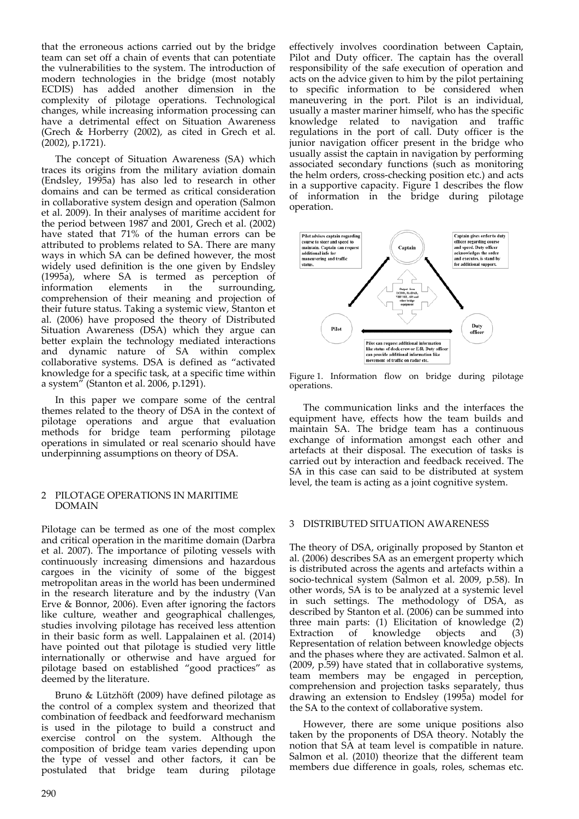that the erroneous actions carried out by the bridge team can set off a chain of events that can potentiate the vulnerabilities to the system. The introduction of modern technologies in the bridge (most notably ECDIS) has added another dimension in the complexity of pilotage operations. Technological changes, while increasing information processing can have a detrimental effect on Situation Awareness (Grech & Horberry (2002), as cited in Grech et al. (2002), p.1721).

The concept of Situation Awareness (SA) which traces its origins from the military aviation domain (Endsley, 1995a) has also led to research in other domains and can be termed as critical consideration in collaborative system design and operation (Salmon et al. 2009). In their analyses of maritime accident for the period between 1987 and 2001, Grech et al. (2002) have stated that 71% of the human errors can be attributed to problems related to SA. There are many ways in which SA can be defined however, the most widely used definition is the one given by Endsley (1995a), where SA is termed as perception of information elements in the surrounding, comprehension of their meaning and projection of their future status. Taking a systemic view, Stanton et al. (2006) have proposed the theory of Distributed Situation Awareness (DSA) which they argue can better explain the technology mediated interactions and dynamic nature of SA within complex collaborative systems. DSA is defined as "activated knowledge for a specific task, at a specific time within a system" (Stanton et al. 2006, p.1291).

In this paper we compare some of the central themes related to the theory of DSA in the context of pilotage operations and argue that evaluation methods for bridge team performing pilotage operations in simulated or real scenario should have underpinning assumptions on theory of DSA.

### 2 PILOTAGE OPERATIONS IN MARITIME DOMAIN

Pilotage can be termed as one of the most complex and critical operation in the maritime domain (Darbra et al. 2007). The importance of piloting vessels with continuously increasing dimensions and hazardous cargoes in the vicinity of some of the biggest metropolitan areas in the world has been undermined in the research literature and by the industry (Van Erve & Bonnor, 2006). Even after ignoring the factors like culture, weather and geographical challenges, studies involving pilotage has received less attention in their basic form as well. Lappalainen et al. (2014) have pointed out that pilotage is studied very little internationally or otherwise and have argued for pilotage based on established "good practices" as deemed by the literature.

Bruno & Lützhöft (2009) have defined pilotage as the control of a complex system and theorized that combination of feedback and feedforward mechanism is used in the pilotage to build a construct and exercise control on the system. Although the composition of bridge team varies depending upon the type of vessel and other factors, it can be postulated that bridge team during pilotage

effectively involves coordination between Captain, Pilot and Duty officer. The captain has the overall responsibility of the safe execution of operation and acts on the advice given to him by the pilot pertaining to specific information to be considered when maneuvering in the port. Pilot is an individual, usually a master mariner himself, who has the specific knowledge related to navigation and traffic regulations in the port of call. Duty officer is the junior navigation officer present in the bridge who usually assist the captain in navigation by performing associated secondary functions (such as monitoring the helm orders, cross‐checking position etc.) and acts in a supportive capacity. Figure 1 describes the flow of information in the bridge during pilotage operation.



Figure 1. Information flow on bridge during pilotage operations.

The communication links and the interfaces the equipment have, effects how the team builds and maintain SA. The bridge team has a continuous exchange of information amongst each other and artefacts at their disposal. The execution of tasks is carried out by interaction and feedback received. The SA in this case can said to be distributed at system level, the team is acting as a joint cognitive system.

## 3 DISTRIBUTED SITUATION AWARENESS

The theory of DSA, originally proposed by Stanton et al. (2006) describes SA as an emergent property which is distributed across the agents and artefacts within a socio‐technical system (Salmon et al. 2009, p.58). In other words, SA is to be analyzed at a systemic level in such settings. The methodology of DSA, as described by Stanton et al. (2006) can be summed into three main parts: (1) Elicitation of knowledge (2)<br>Extraction of knowledge objects and (3) Extraction of knowledge objects and Representation of relation between knowledge objects and the phases where they are activated. Salmon et al. (2009, p.59) have stated that in collaborative systems, team members may be engaged in perception, comprehension and projection tasks separately, thus drawing an extension to Endsley (1995a) model for the SA to the context of collaborative system.

However, there are some unique positions also taken by the proponents of DSA theory. Notably the notion that SA at team level is compatible in nature. Salmon et al. (2010) theorize that the different team members due difference in goals, roles, schemas etc.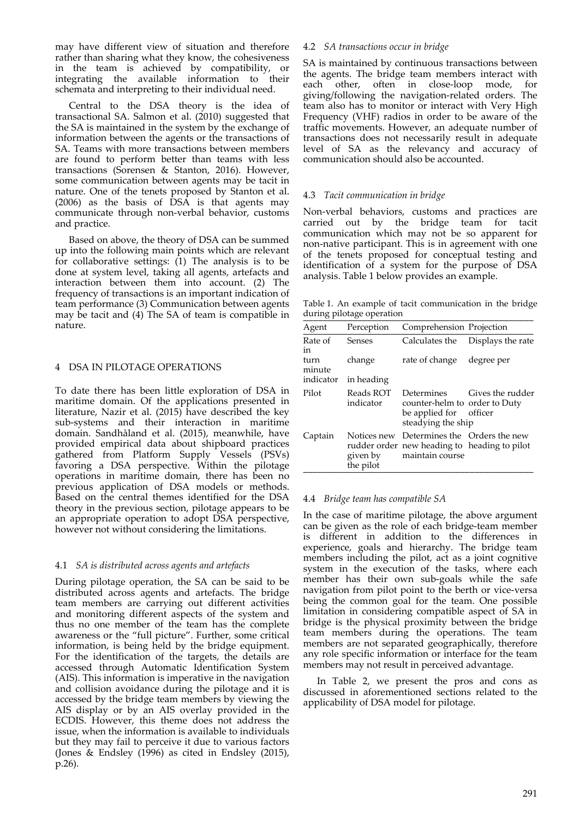may have different view of situation and therefore rather than sharing what they know, the cohesiveness in the team is achieved by compatibility, or integrating the available information to their schemata and interpreting to their individual need.

Central to the DSA theory is the idea of transactional SA. Salmon et al. (2010) suggested that the SA is maintained in the system by the exchange of information between the agents or the transactions of SA. Teams with more transactions between members are found to perform better than teams with less transactions (Sorensen & Stanton, 2016). However, some communication between agents may be tacit in nature. One of the tenets proposed by Stanton et al. (2006) as the basis of DSA is that agents may communicate through non‐verbal behavior, customs and practice.

Based on above, the theory of DSA can be summed up into the following main points which are relevant for collaborative settings:  $(1)$  The analysis is to be done at system level, taking all agents, artefacts and interaction between them into account. (2) The frequency of transactions is an important indication of team performance (3) Communication between agents may be tacit and (4) The SA of team is compatible in nature.

## 4 DSA IN PILOTAGE OPERATIONS

To date there has been little exploration of DSA in maritime domain. Of the applications presented in literature, Nazir et al. (2015) have described the key sub‐systems and their interaction in maritime domain. Sandhåland et al. (2015), meanwhile, have provided empirical data about shipboard practices gathered from Platform Supply Vessels (PSVs) favoring a DSA perspective. Within the pilotage operations in maritime domain, there has been no previous application of DSA models or methods. Based on the central themes identified for the DSA theory in the previous section, pilotage appears to be an appropriate operation to adopt DSA perspective, however not without considering the limitations.

## 4.1 *SA is distributed across agents and artefacts*

During pilotage operation, the SA can be said to be distributed across agents and artefacts. The bridge team members are carrying out different activities and monitoring different aspects of the system and thus no one member of the team has the complete awareness or the "full picture". Further, some critical information, is being held by the bridge equipment. For the identification of the targets, the details are accessed through Automatic Identification System (AIS). This information is imperative in the navigation and collision avoidance during the pilotage and it is accessed by the bridge team members by viewing the AIS display or by an AIS overlay provided in the ECDIS. However, this theme does not address the issue, when the information is available to individuals but they may fail to perceive it due to various factors (Jones & Endsley (1996) as cited in Endsley (2015), p.26).

## 4.2 *SA transactions occur in bridge*

SA is maintained by continuous transactions between the agents. The bridge team members interact with each other, often in close‐loop mode, for giving/following the navigation‐related orders. The team also has to monitor or interact with Very High Frequency (VHF) radios in order to be aware of the traffic movements. However, an adequate number of transactions does not necessarily result in adequate level of SA as the relevancy and accuracy of communication should also be accounted.

## 4.3 *Tacit communication in bridge*

Non‐verbal behaviors, customs and practices are carried out by the bridge team for tacit communication which may not be so apparent for non‐native participant. This is in agreement with one of the tenets proposed for conceptual testing and identification of a system for the purpose of DSA analysis. Table 1 below provides an example.

Table 1. An example of tacit communication in the bridge during pilotage operation

| Agent          | Perception             | Comprehension Projection                                                                                     |                   |
|----------------|------------------------|--------------------------------------------------------------------------------------------------------------|-------------------|
| Rate of<br>in  | Senses                 | Calculates the                                                                                               | Displays the rate |
| turn<br>minute | change                 | rate of change                                                                                               | degree per        |
| indicator      | in heading             |                                                                                                              |                   |
| Pilot          | Reads ROT<br>indicator | Determines<br>counter-helm to order to Duty<br>be applied for officer<br>steadying the ship                  | Gives the rudder  |
| Captain        | given by<br>the pilot  | Notices new Determines the Orders the new<br>rudder order new heading to heading to pilot<br>maintain course |                   |

## 4.4 *Bridge team has compatible SA*

In the case of maritime pilotage, the above argument can be given as the role of each bridge‐team member is different in addition to the differences in experience, goals and hierarchy. The bridge team members including the pilot, act as a joint cognitive system in the execution of the tasks, where each member has their own sub‐goals while the safe navigation from pilot point to the berth or vice-versa being the common goal for the team. One possible limitation in considering compatible aspect of SA in bridge is the physical proximity between the bridge team members during the operations. The team members are not separated geographically, therefore any role specific information or interface for the team members may not result in perceived advantage.

In Table 2, we present the pros and cons as discussed in aforementioned sections related to the applicability of DSA model for pilotage.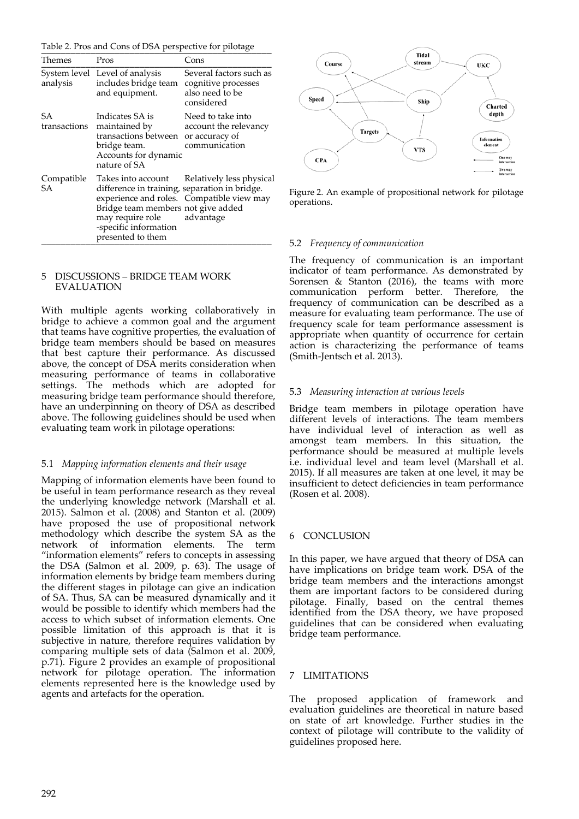Table 2. Pros and Cons of DSA perspective for pilotage

| Themes             | Pros                                                                                                                                                                                  | Cons                                                                            |
|--------------------|---------------------------------------------------------------------------------------------------------------------------------------------------------------------------------------|---------------------------------------------------------------------------------|
| analysis           | System level Level of analysis<br>includes bridge team<br>and equipment.                                                                                                              | Several factors such as<br>cognitive processes<br>also need to be<br>considered |
| SА<br>transactions | Indicates SA is<br>maintained by<br>transactions between or accuracy of<br>bridge team.<br>Accounts for dynamic<br>nature of SA                                                       | Need to take into<br>account the relevancy<br>communication                     |
| Compatible<br>SА   | Takes into account<br>difference in training, separation in bridge.<br>Bridge team members not give added<br>may require role advantage<br>-specific information<br>presented to them | Relatively less physical<br>experience and roles. Compatible view may           |

#### 5 DISCUSSIONS – BRIDGE TEAM WORK EVALUATION

With multiple agents working collaboratively in bridge to achieve a common goal and the argument that teams have cognitive properties, the evaluation of bridge team members should be based on measures that best capture their performance. As discussed above, the concept of DSA merits consideration when measuring performance of teams in collaborative settings. The methods which are adopted for measuring bridge team performance should therefore, have an underpinning on theory of DSA as described above. The following guidelines should be used when evaluating team work in pilotage operations:

## 5.1 *Mapping information elements and their usage*

Mapping of information elements have been found to be useful in team performance research as they reveal the underlying knowledge network (Marshall et al. 2015). Salmon et al. (2008) and Stanton et al. (2009) have proposed the use of propositional network methodology which describe the system SA as the network of information elements. The term "information elements" refers to concepts in assessing the DSA (Salmon et al. 2009, p. 63). The usage of information elements by bridge team members during the different stages in pilotage can give an indication of SA. Thus, SA can be measured dynamically and it would be possible to identify which members had the access to which subset of information elements. One possible limitation of this approach is that it is subjective in nature, therefore requires validation by comparing multiple sets of data (Salmon et al. 2009, p.71). Figure 2 provides an example of propositional network for pilotage operation. The information elements represented here is the knowledge used by agents and artefacts for the operation.



Figure 2. An example of propositional network for pilotage operations.

## 5.2 *Frequency of communication*

The frequency of communication is an important indicator of team performance. As demonstrated by Sorensen & Stanton (2016), the teams with more communication perform better. Therefore, the frequency of communication can be described as a measure for evaluating team performance. The use of frequency scale for team performance assessment is appropriate when quantity of occurrence for certain action is characterizing the performance of teams (Smith‐Jentsch et al. 2013).

## 5.3 *Measuring interaction at various levels*

Bridge team members in pilotage operation have different levels of interactions. The team members have individual level of interaction as well as amongst team members. In this situation, the performance should be measured at multiple levels i.e. individual level and team level (Marshall et al. 2015). If all measures are taken at one level, it may be insufficient to detect deficiencies in team performance (Rosen et al. 2008).

## 6 CONCLUSION

In this paper, we have argued that theory of DSA can have implications on bridge team work. DSA of the bridge team members and the interactions amongst them are important factors to be considered during pilotage. Finally, based on the central themes identified from the DSA theory, we have proposed guidelines that can be considered when evaluating bridge team performance.

## 7 LIMITATIONS

The proposed application of framework and evaluation guidelines are theoretical in nature based on state of art knowledge. Further studies in the context of pilotage will contribute to the validity of guidelines proposed here.